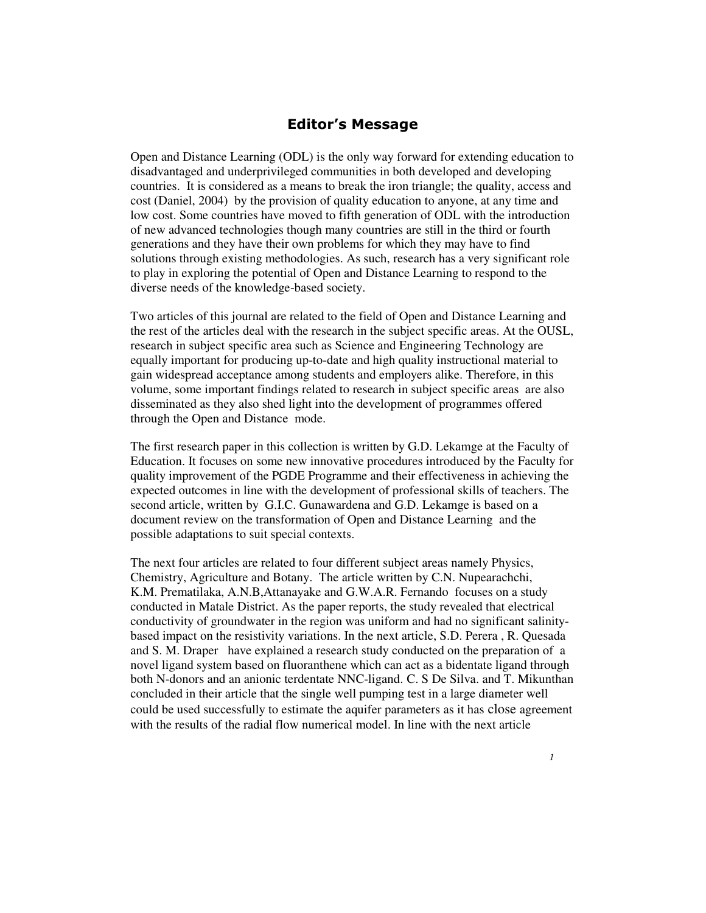## Editor's Message

Open and Distance Learning (ODL) is the only way forward for extending education to disadvantaged and underprivileged communities in both developed and developing countries. It is considered as a means to break the iron triangle; the quality, access and cost (Daniel, 2004) by the provision of quality education to anyone, at any time and low cost. Some countries have moved to fifth generation of ODL with the introduction of new advanced technologies though many countries are still in the third or fourth generations and they have their own problems for which they may have to find solutions through existing methodologies. As such, research has a very significant role to play in exploring the potential of Open and Distance Learning to respond to the diverse needs of the knowledge-based society.

Two articles of this journal are related to the field of Open and Distance Learning and the rest of the articles deal with the research in the subject specific areas. At the OUSL, research in subject specific area such as Science and Engineering Technology are equally important for producing up-to-date and high quality instructional material to gain widespread acceptance among students and employers alike. Therefore, in this volume, some important findings related to research in subject specific areas are also disseminated as they also shed light into the development of programmes offered through the Open and Distance mode.

The first research paper in this collection is written by G.D. Lekamge at the Faculty of Education. It focuses on some new innovative procedures introduced by the Faculty for quality improvement of the PGDE Programme and their effectiveness in achieving the expected outcomes in line with the development of professional skills of teachers. The second article, written by G.I.C. Gunawardena and G.D. Lekamge is based on a document review on the transformation of Open and Distance Learning and the possible adaptations to suit special contexts.

The next four articles are related to four different subject areas namely Physics, Chemistry, Agriculture and Botany. The article written by C.N. Nupearachchi, K.M. Prematilaka, A.N.B,Attanayake and G.W.A.R. Fernando focuses on a study conducted in Matale District. As the paper reports, the study revealed that electrical conductivity of groundwater in the region was uniform and had no significant salinitybased impact on the resistivity variations. In the next article, S.D. Perera , R. Quesada and S. M. Draper have explained a research study conducted on the preparation of a novel ligand system based on fluoranthene which can act as a bidentate ligand through both N-donors and an anionic terdentate NNC-ligand. C. S De Silva. and T. Mikunthan concluded in their article that the single well pumping test in a large diameter well could be used successfully to estimate the aquifer parameters as it has close agreement with the results of the radial flow numerical model. In line with the next article